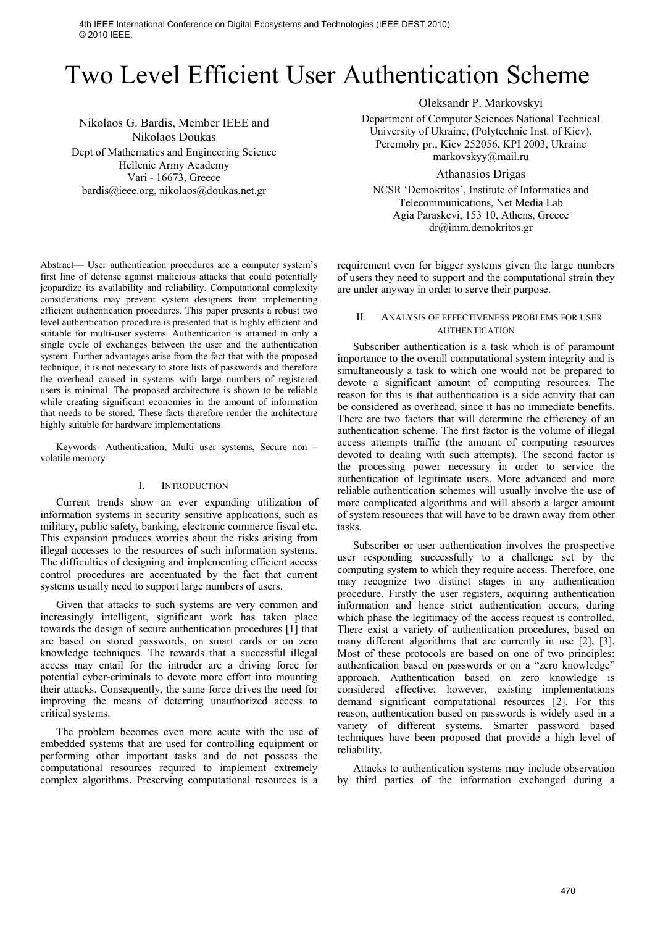4th IEEE International Conference on Digital Ecosystems and Technologies (IEEE DEST 2010) © 2010 IEEE.

# Two Level Efficient User Authentication Scheme

Nikolaos G. Bardis, Member IEEE and Nikolaos Doukas Dept of Mathematics and Engineering Science Hellenic Army Academy Vari - 16673, Greece bardis@ieee.org, nikolaos@doukas.net.gr

Oleksandr P. Markovskyi

Department of Computer Sciences National Technical University of Ukraine, (Polytechnic Inst. of Kiev), Peremohy pr., Kiev 252056, KPI 2003, Ukraine markovskyy@mail.ru

Athanasios Drigas

NCSR 'Demokritos', Institute of Informatics and Telecommunications, Net Media Lab Agia Paraskevi, 153 10, Athens, Greece dr@imm.demokritos.gr

Abstract— User authentication procedures are a computer system's first line of defense against malicious attacks that could potentially jeopardize its availability and reliability. Computational complexity considerations may prevent system designers from implementing efficient authentication procedures. This paper presents a robust two level authentication procedure is presented that is highly efficient and suitable for multi-user systems. Authentication is attained in only a single cycle of exchanges between the user and the authentication system. Further advantages arise from the fact that with the proposed technique, it is not necessary to store lists of passwords and therefore the overhead caused in systems with large numbers of registered users is minimal. The proposed architecture is shown to be reliable while creating significant economies in the amount of information that needs to be stored. These facts therefore render the architecture highly suitable for hardware implementations.

Keywords- Authentication, Multi user systems, Secure non – volatile memory

#### I. INTRODUCTION

Current trends show an ever expanding utilization of information systems in security sensitive applications, such as military, public safety, banking, electronic commerce fiscal etc. This expansion produces worries about the risks arising from illegal accesses to the resources of such information systems. The difficulties of designing and implementing efficient access control procedures are accentuated by the fact that current systems usually need to support large numbers of users.

Given that attacks to such systems are very common and increasingly intelligent, significant work has taken place towards the design of secure authentication procedures [1] that are based on stored passwords, on smart cards or on zero knowledge techniques. The rewards that a successful illegal access may entail for the intruder are a driving force for potential cyber-criminals to devote more effort into mounting their attacks. Consequently, the same force drives the need for improving the means of deterring unauthorized access to critical systems.

The problem becomes even more acute with the use of embedded systems that are used for controlling equipment or performing other important tasks and do not possess the computational resources required to implement extremely complex algorithms. Preserving computational resources is a requirement even for bigger systems given the large numbers of users they need to support and the computational strain they are under anyway in order to serve their purpose.

## II. ANALYSIS OF EFFECTIVENESS PROBLEMS FOR USER AUTHENTICATION

Subscriber authentication is a task which is of paramount importance to the overall computational system integrity and is simultaneously a task to which one would not be prepared to devote a significant amount of computing resources. The reason for this is that authentication is a side activity that can be considered as overhead, since it has no immediate benefits. There are two factors that will determine the efficiency of an authentication scheme. The first factor is the volume of illegal access attempts traffic (the amount of computing resources devoted to dealing with such attempts). The second factor is the processing power necessary in order to service the authentication of legitimate users. More advanced and more reliable authentication schemes will usually involve the use of more complicated algorithms and will absorb a larger amount of system resources that will have to be drawn away from other tasks.

Subscriber or user authentication involves the prospective user responding successfully to a challenge set by the computing system to which they require access. Therefore, one may recognize two distinct stages in any authentication procedure. Firstly the user registers, acquiring authentication information and hence strict authentication occurs, during which phase the legitimacy of the access request is controlled. There exist a variety of authentication procedures, based on many different algorithms that are currently in use [2], [3]. Most of these protocols are based on one of two principles: authentication based on passwords or on a "zero knowledge" approach. Authentication based on zero knowledge is considered effective; however, existing implementations demand significant computational resources [2]. For this reason, authentication based on passwords is widely used in a variety of different systems. Smarter password based techniques have been proposed that provide a high level of reliability.

Attacks to authentication systems may include observation by third parties of the information exchanged during a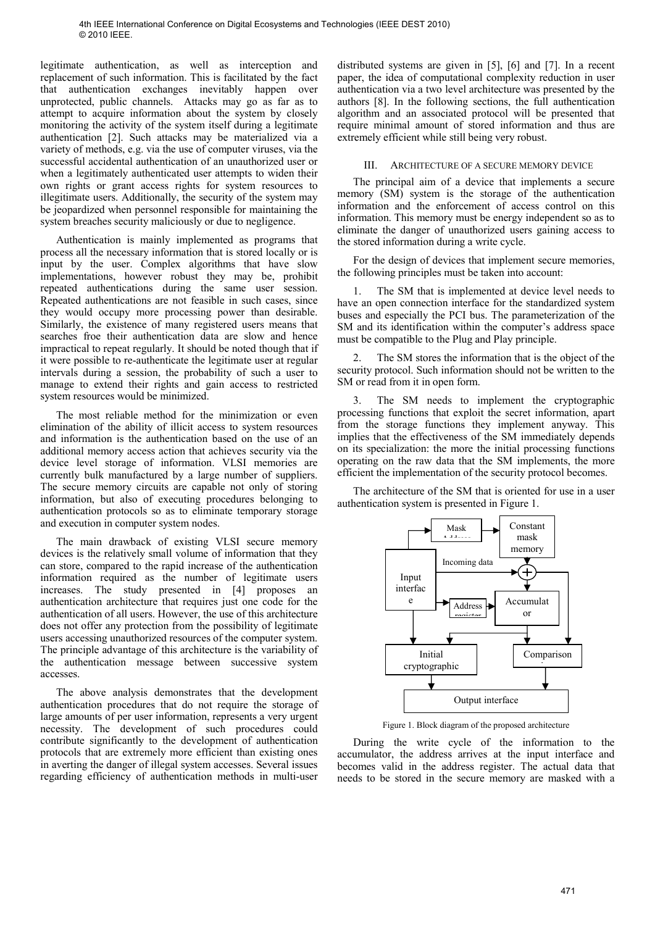legitimate authentication, as well as interception and replacement of such information. This is facilitated by the fact that authentication exchanges inevitably happen over unprotected, public channels. Attacks may go as far as to attempt to acquire information about the system by closely monitoring the activity of the system itself during a legitimate authentication [2]. Such attacks may be materialized via a variety of methods, e.g. via the use of computer viruses, via the successful accidental authentication of an unauthorized user or when a legitimately authenticated user attempts to widen their own rights or grant access rights for system resources to illegitimate users. Additionally, the security of the system may be jeopardized when personnel responsible for maintaining the system breaches security maliciously or due to negligence.

Authentication is mainly implemented as programs that process all the necessary information that is stored locally or is input by the user. Complex algorithms that have slow implementations, however robust they may be, prohibit repeated authentications during the same user session. Repeated authentications are not feasible in such cases, since they would occupy more processing power than desirable. Similarly, the existence of many registered users means that searches froe their authentication data are slow and hence impractical to repeat regularly. It should be noted though that if it were possible to re-authenticate the legitimate user at regular intervals during a session, the probability of such a user to manage to extend their rights and gain access to restricted system resources would be minimized.

The most reliable method for the minimization or even elimination of the ability of illicit access to system resources and information is the authentication based on the use of an additional memory access action that achieves security via the device level storage of information. VLSI memories are currently bulk manufactured by a large number of suppliers. The secure memory circuits are capable not only of storing information, but also of executing procedures belonging to authentication protocols so as to eliminate temporary storage and execution in computer system nodes.

The main drawback of existing VLSI secure memory devices is the relatively small volume of information that they can store, compared to the rapid increase of the authentication information required as the number of legitimate users increases. The study presented in [4] proposes an authentication architecture that requires just one code for the authentication of all users. However, the use of this architecture does not offer any protection from the possibility of legitimate users accessing unauthorized resources of the computer system. The principle advantage of this architecture is the variability of the authentication message between successive system accesses.

The above analysis demonstrates that the development authentication procedures that do not require the storage of large amounts of per user information, represents a very urgent necessity. The development of such procedures could contribute significantly to the development of authentication protocols that are extremely more efficient than existing ones in averting the danger of illegal system accesses. Several issues regarding efficiency of authentication methods in multi-user

distributed systems are given in [5], [6] and [7]. In a recent paper, the idea of computational complexity reduction in user authentication via a two level architecture was presented by the authors [8]. In the following sections, the full authentication algorithm and an associated protocol will be presented that require minimal amount of stored information and thus are extremely efficient while still being very robust.

## III. ARCHITECTURE OF A SECURE MEMORY DEVICE

The principal aim of a device that implements a secure memory (SM) system is the storage of the authentication information and the enforcement of access control on this information. This memory must be energy independent so as to eliminate the danger of unauthorized users gaining access to the stored information during a write cycle.

For the design of devices that implement secure memories, the following principles must be taken into account:

1. The SM that is implemented at device level needs to have an open connection interface for the standardized system buses and especially the PCI bus. The parameterization of the SM and its identification within the computer's address space must be compatible to the Plug and Play principle.

The SM stores the information that is the object of the security protocol. Such information should not be written to the SM or read from it in open form.

3. The SM needs to implement the cryptographic processing functions that exploit the secret information, apart from the storage functions they implement anyway. This implies that the effectiveness of the SM immediately depends on its specialization: the more the initial processing functions operating on the raw data that the SM implements, the more efficient the implementation of the security protocol becomes.

The architecture of the SM that is oriented for use in a user authentication system is presented in Figure 1.



Figure 1. Block diagram of the proposed architecture

During the write cycle of the information to the accumulator, the address arrives at the input interface and becomes valid in the address register. The actual data that needs to be stored in the secure memory are masked with a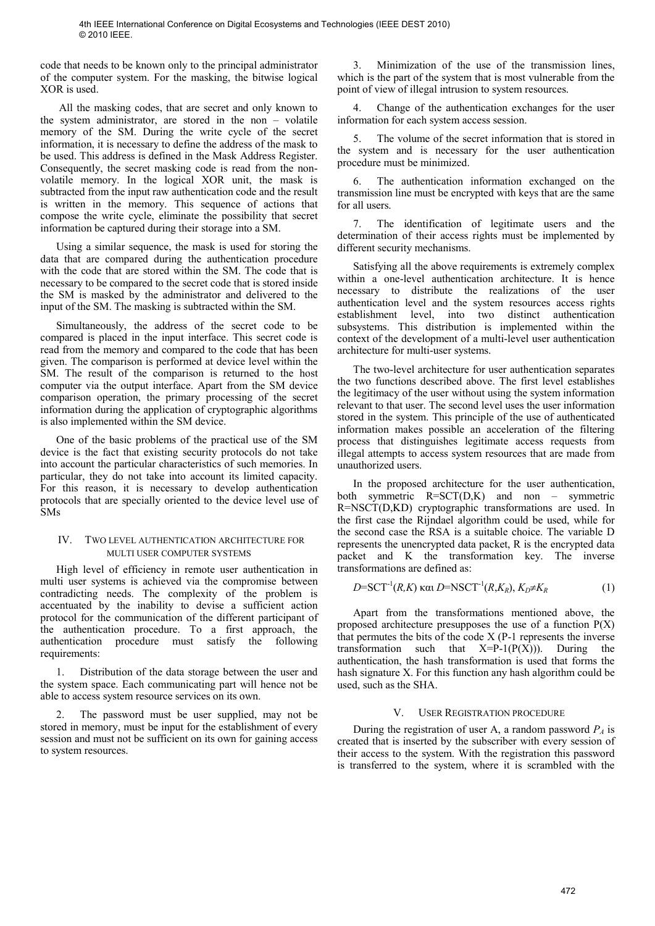code that needs to be known only to the principal administrator of the computer system. For the masking, the bitwise logical XOR is used.

 All the masking codes, that are secret and only known to the system administrator, are stored in the non – volatile memory of the SM. During the write cycle of the secret information, it is necessary to define the address of the mask to be used. This address is defined in the Mask Address Register. Consequently, the secret masking code is read from the nonvolatile memory. In the logical XOR unit, the mask is subtracted from the input raw authentication code and the result is written in the memory. This sequence of actions that compose the write cycle, eliminate the possibility that secret information be captured during their storage into a SM.

Using a similar sequence, the mask is used for storing the data that are compared during the authentication procedure with the code that are stored within the SM. The code that is necessary to be compared to the secret code that is stored inside the SM is masked by the administrator and delivered to the input of the SM. The masking is subtracted within the SM.

Simultaneously, the address of the secret code to be compared is placed in the input interface. This secret code is read from the memory and compared to the code that has been given. The comparison is performed at device level within the SM. The result of the comparison is returned to the host computer via the output interface. Apart from the SM device comparison operation, the primary processing of the secret information during the application of cryptographic algorithms is also implemented within the SM device.

One of the basic problems of the practical use of the SM device is the fact that existing security protocols do not take into account the particular characteristics of such memories. In particular, they do not take into account its limited capacity. For this reason, it is necessary to develop authentication protocols that are specially oriented to the device level use of SMs

## IV. TWO LEVEL AUTHENTICATION ARCHITECTURE FOR MULTI USER COMPUTER SYSTEMS

High level of efficiency in remote user authentication in multi user systems is achieved via the compromise between contradicting needs. The complexity of the problem is accentuated by the inability to devise a sufficient action protocol for the communication of the different participant of the authentication procedure. To a first approach, the authentication procedure must satisfy the following requirements:

1. Distribution of the data storage between the user and the system space. Each communicating part will hence not be able to access system resource services on its own.

The password must be user supplied, may not be stored in memory, must be input for the establishment of every session and must not be sufficient on its own for gaining access to system resources.

3. Minimization of the use of the transmission lines, which is the part of the system that is most vulnerable from the point of view of illegal intrusion to system resources.

4. Change of the authentication exchanges for the user information for each system access session.

The volume of the secret information that is stored in the system and is necessary for the user authentication procedure must be minimized.

6. The authentication information exchanged on the transmission line must be encrypted with keys that are the same for all users.

7. The identification of legitimate users and the determination of their access rights must be implemented by different security mechanisms.

Satisfying all the above requirements is extremely complex within a one-level authentication architecture. It is hence necessary to distribute the realizations of the user authentication level and the system resources access rights establishment level, into two distinct authentication subsystems. This distribution is implemented within the context of the development of a multi-level user authentication architecture for multi-user systems.

The two-level architecture for user authentication separates the two functions described above. The first level establishes the legitimacy of the user without using the system information relevant to that user. The second level uses the user information stored in the system. This principle of the use of authenticated information makes possible an acceleration of the filtering process that distinguishes legitimate access requests from illegal attempts to access system resources that are made from unauthorized users.

In the proposed architecture for the user authentication, both symmetric R=SСT(D,K) and non – symmetric R=NSСT(D,KD) cryptographic transformations are used. In the first case the Rijndael algorithm could be used, while for the second case the RSA is a suitable choice. The variable D represents the unencrypted data packet, R is the encrypted data packet and K the transformation key. The inverse transformations are defined as:

$$
D=\text{SCT}^{-1}(R,K) \text{ Kau } D=\text{NSCT}^{-1}(R,K_R), K_D \neq K_R
$$
 (1)

Apart from the transformations mentioned above, the proposed architecture presupposes the use of a function  $P(X)$ that permutes the bits of the code X (P-1 represents the inverse transformation such that  $X = P-1(P(X))$ . During the authentication, the hash transformation is used that forms the hash signature X. For this function any hash algorithm could be used, such as the SHA.

## V. USER REGISTRATION PROCEDURE

During the registration of user A, a random password  $P_A$  is created that is inserted by the subscriber with every session of their access to the system. With the registration this password is transferred to the system, where it is scrambled with the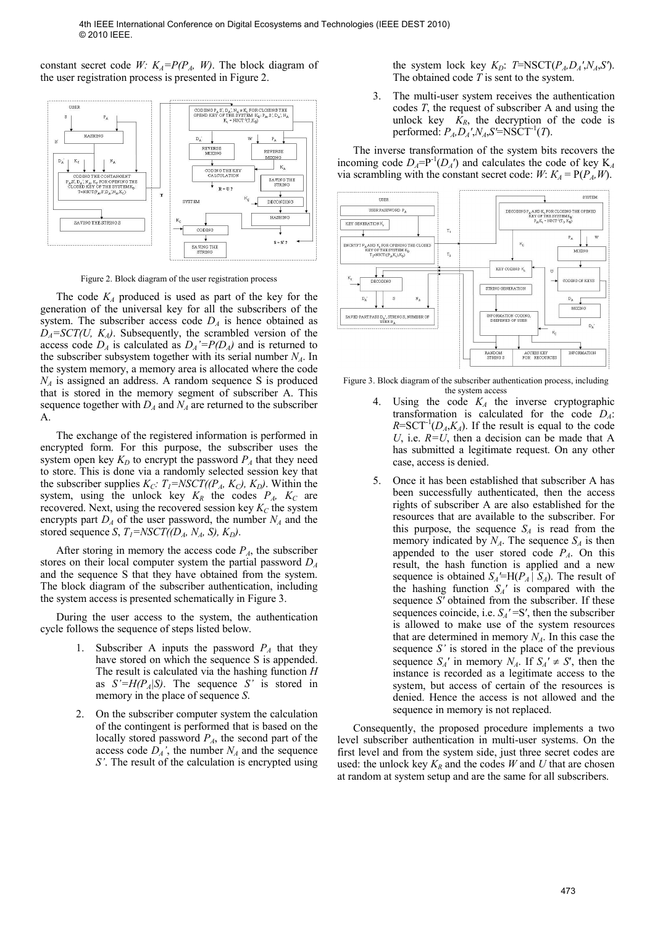constant secret code *W:*  $K_A = P(P_A, W)$ . The block diagram of the user registration process is presented in Figure 2.



Figure 2. Block diagram of the user registration process

The code  $K_A$  produced is used as part of the key for the generation of the universal key for all the subscribers of the system. The subscriber access code  $D_A$  is hence obtained as  $D_A = SCT(U, K_A)$ . Subsequently, the scrambled version of the access code  $D_A$  is calculated as  $D_A' = P(D_A)$  and is returned to the subscriber subsystem together with its serial number  $N_A$ . In the system memory, a memory area is allocated where the code  $N_A$  is assigned an address. A random sequence S is produced that is stored in the memory segment of subscriber A. This sequence together with  $D_A$  and  $N_A$  are returned to the subscriber A.

The exchange of the registered information is performed in encrypted form. For this purpose, the subscriber uses the system open key  $K_D$  to encrypt the password  $P_A$  that they need to store. This is done via a randomly selected session key that the subscriber supplies  $K_C$ :  $T_I = NSCT((P_A, K_C), K_D)$ . Within the system, using the unlock key  $K_R$  the codes  $P_A$ ,  $K_C$  are recovered. Next, using the recovered session key  $K_C$  the system encrypts part  $D_A$  of the user password, the number  $N_A$  and the stored sequence *S*,  $T_I = NSCT((D_A, N_A, S), K_D)$ .

After storing in memory the access code  $P_A$ , the subscriber stores on their local computer system the partial password *D<sup>A</sup>* and the sequence S that they have obtained from the system. The block diagram of the subscriber authentication, including the system access is presented schematically in Figure 3.

During the user access to the system, the authentication cycle follows the sequence of steps listed below.

- 1. Subscriber A inputs the password  $P_A$  that they have stored on which the sequence S is appended. The result is calculated via the hashing function *H* as  $S' = H(P_A|S)$ . The sequence *S'* is stored in memory in the place of sequence *S*.
- 2. On the subscriber computer system the calculation of the contingent is performed that is based on the locally stored password *PA*, the second part of the access code  $\overrightarrow{D_A}$ <sup>'</sup>, the number  $N_A$  and the sequence *S'*. The result of the calculation is encrypted using

the system lock key  $K_D$ : *T*=NSCT( $P_A, D_A, N_A, S'$ ). The obtained code *T* is sent to the system.

3. The multi-user system receives the authentication codes *T*, the request of subscriber A and using the unlock key  $K_R$ , the decryption of the code is performed:  $P_A, D_A', N_A, S' = \text{NSCT}^{-1}(T)$ .

The inverse transformation of the system bits recovers the incoming code  $D_A = P^{-1}(D_A')$  and calculates the code of key K<sub>A</sub> via scrambling with the constant secret code: *W*:  $K_A = P(P_A, W)$ .



Figure 3. Block diagram of the subscriber authentication process, including the system access

- 4. Using the code *KA* the inverse cryptographic transformation is calculated for the code *DA*:  $R = \text{SCT}^{-1}(D_A, K_A)$ . If the result is equal to the code *U*, i.e.  $R=U$ , then a decision can be made that A has submitted a legitimate request. On any other case, access is denied.
- 5. Once it has been established that subscriber A has been successfully authenticated, then the access rights of subscriber A are also established for the resources that are available to the subscriber. For this purpose, the sequence  $S_A$  is read from the memory indicated by  $N_A$ . The sequence  $S_A$  is then appended to the user stored code *PA*. On this result, the hash function is applied and a new sequence is obtained  $S_A = H(P_A | S_A)$ . The result of the hashing function  $S_A'$  is compared with the sequence *S′* obtained from the subscriber. If these sequences coincide, i.e. *SA′* =S′, then the subscriber is allowed to make use of the system resources that are determined in memory *A*. In this case the sequence *S'* is stored in the place of the previous sequence  $S_A'$  in memory  $N_A$ . If  $S_A' \neq S'$ , then the instance is recorded as a legitimate access to the system, but access of certain of the resources is denied. Hence the access is not allowed and the sequence in memory is not replaced.

Consequently, the proposed procedure implements a two level subscriber authentication in multi-user systems. On the first level and from the system side, just three secret codes are used: the unlock key  $K_R$  and the codes *W* and *U* that are chosen at random at system setup and are the same for all subscribers.